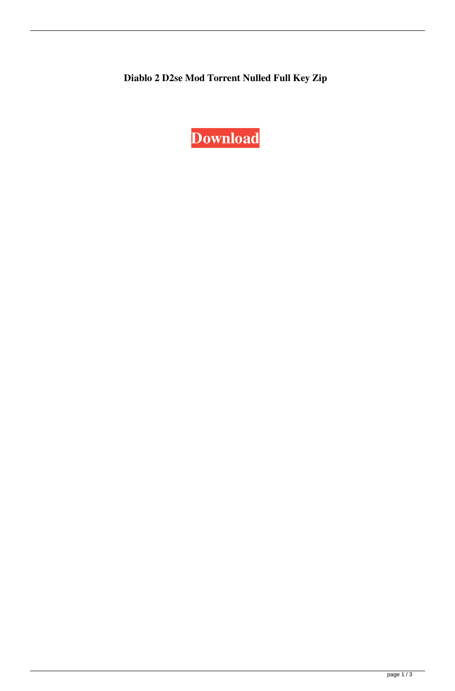**Diablo 2 D2se Mod Torrent Nulled Full Key Zip**

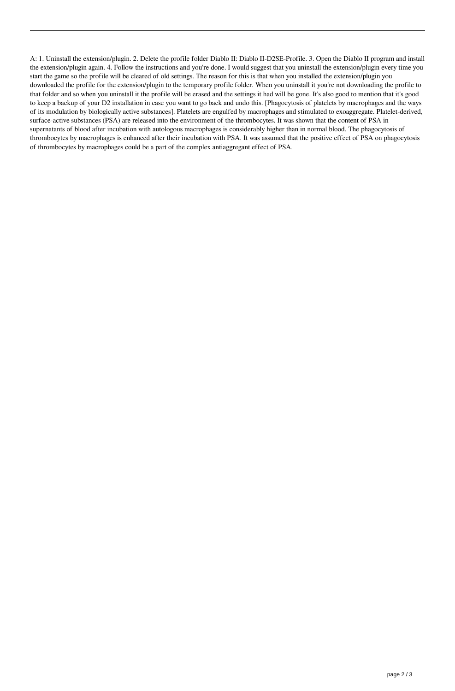A: 1. Uninstall the extension/plugin. 2. Delete the profile folder Diablo II: Diablo II-D2SE-Profile. 3. Open the Diablo II program and install the extension/plugin again. 4. Follow the instructions and you're done. I would suggest that you uninstall the extension/plugin every time you start the game so the profile will be cleared of old settings. The reason for this is that when you installed the extension/plugin you downloaded the profile for the extension/plugin to the temporary profile folder. When you uninstall it you're not downloading the profile to that folder and so when you uninstall it the profile will be erased and the settings it had will be gone. It's also good to mention that it's good to keep a backup of your D2 installation in case you want to go back and undo this. [Phagocytosis of platelets by macrophages and the ways of its modulation by biologically active substances]. Platelets are engulfed by macrophages and stimulated to exoaggregate. Platelet-derived, surface-active substances (PSA) are released into the environment of the thrombocytes. It was shown that the content of PSA in supernatants of blood after incubation with autologous macrophages is considerably higher than in normal blood. The phagocytosis of thrombocytes by macrophages is enhanced after their incubation with PSA. It was assumed that the positive effect of PSA on phagocytosis of thrombocytes by macrophages could be a part of the complex antiaggregant effect of PSA.